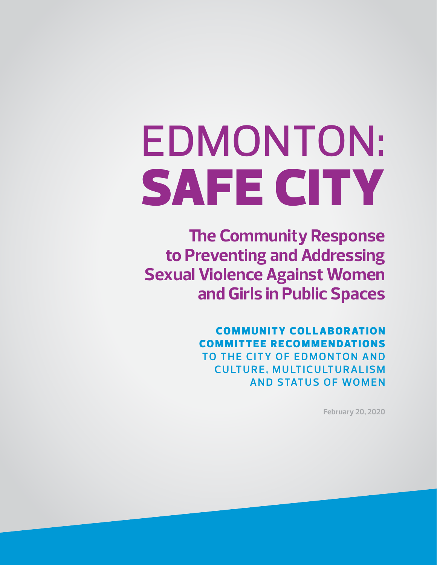# EDMONTON: SAFE CITY

**The Community Response to Preventing and Addressing Sexual Violence Against Women and Girls in Public Spaces**

> **COMMUNITY COLLABORATION COMMITTEE RECOMMENDATIONS TO THE CITY OF EDMONTON AND CULTURE, MULTICULTURALISM AND STATUS OF WOMEN**

> > **February 20, 2020**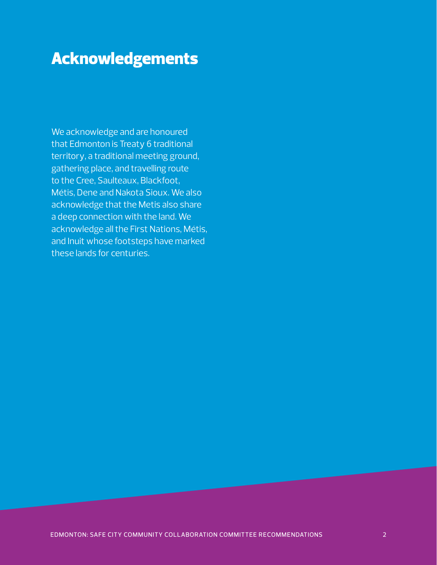# Acknowledgements

We acknowledge and are honoured that Edmonton is Treaty 6 traditional territory, a traditional meeting ground, gathering place, and travelling route to the Cree, Saulteaux, Blackfoot, Métis, Dene and Nakota Sioux. We also acknowledge that the Metis also share a deep connection with the land. We acknowledge all the First Nations, Métis, and Inuit whose footsteps have marked these lands for centuries.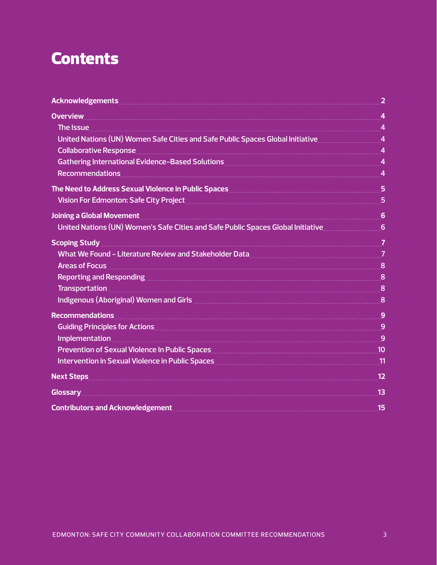# **Contents**

| Acknowledgements <b>Acknowledgements</b><br><u> 2 a de agosto de la contrada de la contrada de la contrada de la contrada de la contrada de la contrada de la</u>                                                                    |                |
|--------------------------------------------------------------------------------------------------------------------------------------------------------------------------------------------------------------------------------------|----------------|
| <b>Overview</b>                                                                                                                                                                                                                      | $\overline{4}$ |
| The Issue                                                                                                                                                                                                                            |                |
| United Nations (UN) Women Safe Cities and Safe Public Spaces Global Initiative 44                                                                                                                                                    |                |
| Collaborative Response <u>Collaborative Response and Australia and Australia and Australia and Australia and Australia and Australia and Australia and Australia and Australia and Australia and Australia and Australia and Aus</u> |                |
| Gathering International Evidence-Based Solutions Manuscritti and Australian Manuscritti Australian Manuscritt                                                                                                                        |                |
| <b>Recommendations</b>                                                                                                                                                                                                               |                |
| The Need to Address Sexual Violence in Public Spaces <b>Superman Construct Constant Construct</b> 5                                                                                                                                  |                |
| Vision For Edmonton: Safe City Project 5 - 2008 - 2014 12:00 12:00 13:00 14:00 15 16:00 16:00 16:00 16:00 16:00 16:00 16:00 16:00 16:00 16:00 16:00 16:00 16:00 16:00 16:00 16:00 16:00 16:00 16:00 16:00 16:00 16:00 16:00 16       |                |
| <b>Joining a Global Movement</b>                                                                                                                                                                                                     |                |
| United Nations (UN) Women's Safe Cities and Safe Public Spaces Global Initiative                                                                                                                                                     |                |
| Scoping Study <u>Executive Construction of</u> the Construction of the Construction of the Construction of the Construction of the Construction of the Construction of the Construction of the Construction of the Construction of   |                |
| What We Found - Literature Review and Stakeholder Data Manuscritti and TV 7                                                                                                                                                          |                |
| <b>Areas of Focus</b>                                                                                                                                                                                                                |                |
| Reporting and Responding <u>[1986]</u> 2008. The Responding of the Section of the Section of the Section of the Section of the Section of the Section of the Section of the Section of the Section of the Section of the Section of  |                |
|                                                                                                                                                                                                                                      |                |
| Indigenous (Aboriginal) Women and Girls <b>Commission Commission Commission</b> 8                                                                                                                                                    |                |
| <b>Recommendations</b>                                                                                                                                                                                                               | 9              |
| Guiding Principles for Actions <b>Superint Container and Superint Container and Superint Container and Superint Container and Superint Container and Superint Container and Superint Container and Superint Container and Superi</b> |                |
| <b>Implementation</b>                                                                                                                                                                                                                |                |
| Prevention of Sexual Violence In Public Spaces Manual Communication and 10                                                                                                                                                           |                |
| Intervention in Sexual Violence in Public Spaces <b>And Access</b> 2001 12 and 2008 12 and 2008                                                                                                                                      | $\sqrt{11}$    |
| Next Steps <b>with the contract of the contract of the contract of the contract of the contract of the contract of the contract of the contract of the contract of the contract of the contract of the contract of the contract </b> | 12             |
| <b>Glossary</b><br><u> 1989 - Johann Harry Barn, mars ann an t-Alban ann an t-Alban ann an t-Alban ann an t-Alban ann an t-Alban ann</u>                                                                                             | 13             |
| <b>Contributors and Acknowledgement</b>                                                                                                                                                                                              | 15             |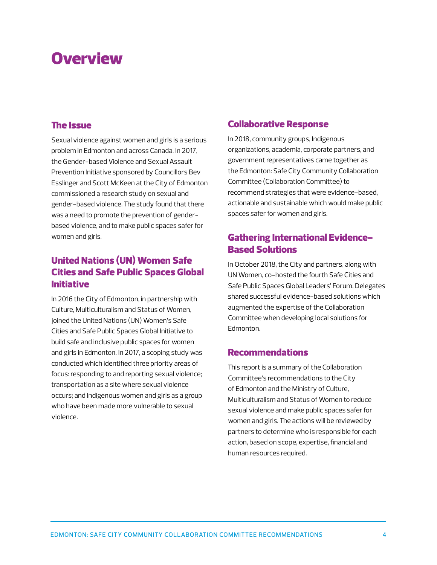# **Overview**

## The Issue

Sexual violence against women and girls is a serious problem in Edmonton and across Canada. In 2017, the Gender-based Violence and Sexual Assault Prevention Initiative sponsored by Councillors Bev Esslinger and Scott McKeen at the City of Edmonton commissioned a research study on sexual and gender-based violence. The study found that there was a need to promote the prevention of genderbased violence, and to make public spaces safer for women and girls.

# United Nations (UN) Women Safe Cities and Safe Public Spaces Global Initiative

In 2016 the City of Edmonton, in partnership with Culture, Multiculturalism and Status of Women, joined the United Nations (UN) Women's Safe Cities and Safe Public Spaces Global Initiative to build safe and inclusive public spaces for women and girls in Edmonton. In 2017, a scoping study was conducted which identified three priority areas of focus: responding to and reporting sexual violence; transportation as a site where sexual violence occurs; and Indigenous women and girls as a group who have been made more vulnerable to sexual violence.

## Collaborative Response

In 2018, community groups, Indigenous organizations, academia, corporate partners, and government representatives came together as the Edmonton: Safe City Community Collaboration Committee (Collaboration Committee) to recommend strategies that were evidence-based, actionable and sustainable which would make public spaces safer for women and girls.

# Gathering International Evidence-Based Solutions

In October 2018, the City and partners, along with UN Women, co-hosted the fourth Safe Cities and Safe Public Spaces Global Leaders' Forum. Delegates shared successful evidence-based solutions which augmented the expertise of the Collaboration Committee when developing local solutions for Edmonton.

## Recommendations

This report is a summary of the Collaboration Committee's recommendations to the City of Edmonton and the Ministry of Culture, Multiculturalism and Status of Women to reduce sexual violence and make public spaces safer for women and girls. The actions will be reviewed by partners to determine who is responsible for each action, based on scope, expertise, financial and human resources required.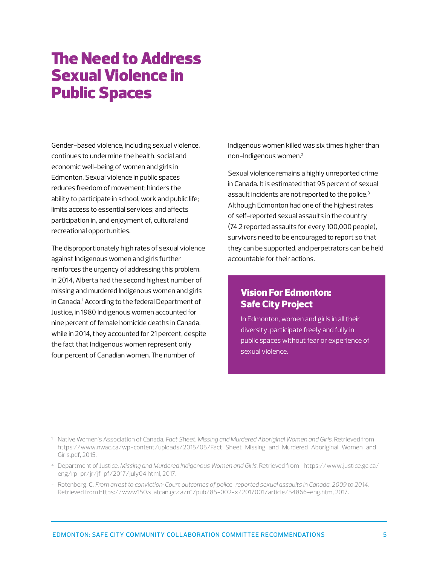# The Need to Address Sexual Violence in Public Spaces

Gender-based violence, including sexual violence, continues to undermine the health, social and economic well-being of women and girls in Edmonton. Sexual violence in public spaces reduces freedom of movement; hinders the ability to participate in school, work and public life; limits access to essential services; and affects participation in, and enjoyment of, cultural and recreational opportunities.

The disproportionately high rates of sexual violence against Indigenous women and girls further reinforces the urgency of addressing this problem. In 2014, Alberta had the second highest number of missing and murdered Indigenous women and girls in Canada.1 According to the federal Department of Justice, in 1980 Indigenous women accounted for nine percent of female homicide deaths in Canada, while in 2014, they accounted for 21 percent, despite the fact that Indigenous women represent only four percent of Canadian women. The number of

Indigenous women killed was six times higher than non-Indigenous women.<sup>2</sup>

Sexual violence remains a highly unreported crime in Canada. It is estimated that 95 percent of sexual assault incidents are not reported to the police.<sup>3</sup> Although Edmonton had one of the highest rates of self-reported sexual assaults in the country (74.2 reported assaults for every 100,000 people), survivors need to be encouraged to report so that they can be supported, and perpetrators can be held accountable for their actions.

# Vision For Edmonton: Safe City Project

In Edmonton, women and girls in all their diversity, participate freely and fully in public spaces without fear or experience of sexual violence.

- 1. Native Women's Association of Canada, *Fact Sheet: Missing and Murdered Aboriginal Women and Girls.* Retrieved from https://www.nwac.ca/wp-content/uploads/2015/05/Fact\_Sheet\_Missing\_and\_Murdered\_Aboriginal\_Women\_and\_ Girls.pdf, 2015.
- 2. Department of Justice. *Missing and Murdered Indigenous Women and Girls.* Retrieved from https://www.justice.gc.ca/ eng/rp-pr/jr/jf-pf/2017/july04.html, 2017.
- 3. Rotenberg, C. *From arrest to conviction: Court outcomes of police-reported sexual assaults in Canada, 2009 to 2014.*  Retrieved from https://www150.statcan.gc.ca/n1/pub/85-002-x/2017001/article/54866-eng.htm, 2017.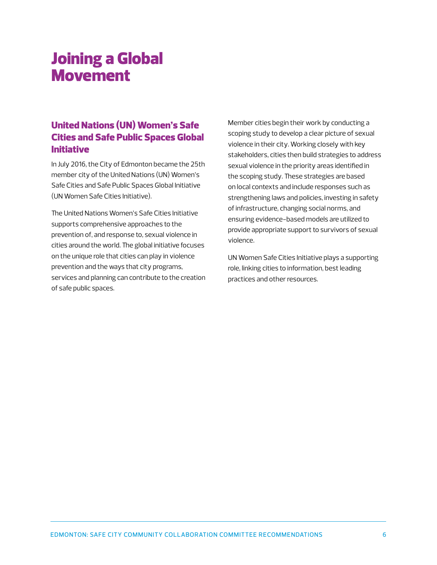# Joining a Global Movement

# United Nations (UN) Women's Safe Cities and Safe Public Spaces Global Initiative

In July 2016, the City of Edmonton became the 25th member city of the United Nations (UN) Women's Safe Cities and Safe Public Spaces Global Initiative (UN Women Safe Cities Initiative).

The United Nations Women's Safe Cities Initiative supports comprehensive approaches to the prevention of, and response to, sexual violence in cities around the world. The global initiative focuses on the unique role that cities can play in violence prevention and the ways that city programs, services and planning can contribute to the creation of safe public spaces.

Member cities begin their work by conducting a scoping study to develop a clear picture of sexual violence in their city. Working closely with key stakeholders, cities then build strategies to address sexual violence in the priority areas identified in the scoping study. These strategies are based on local contexts and include responses such as strengthening laws and policies, investing in safety of infrastructure, changing social norms, and ensuring evidence-based models are utilized to provide appropriate support to survivors of sexual violence.

UN Women Safe Cities Initiative plays a supporting role, linking cities to information, best leading practices and other resources.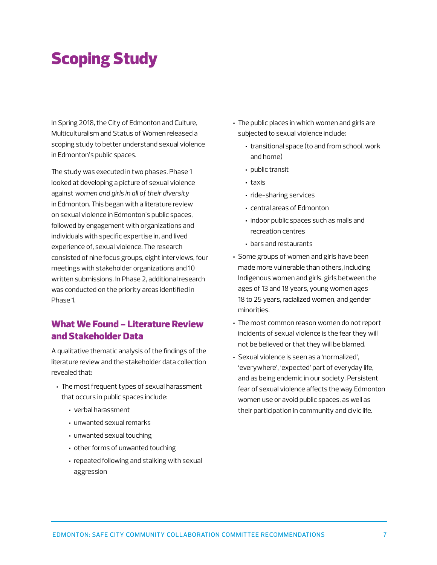# Scoping Study

In Spring 2018, the City of Edmonton and Culture, Multiculturalism and Status of Women released a scoping study to better understand sexual violence in Edmonton's public spaces.

The study was executed in two phases. Phase 1 looked at developing a picture of sexual violence against *women and girls in all of their diversity*  in Edmonton. This began with a literature review on sexual violence in Edmonton's public spaces, followed by engagement with organizations and individuals with specific expertise in, and lived experience of, sexual violence. The research consisted of nine focus groups, eight interviews, four meetings with stakeholder organizations and 10 written submissions. In Phase 2, additional research was conducted on the priority areas identified in Phase 1.

# What We Found - Literature Review and Stakeholder Data

A qualitative thematic analysis of the findings of the literature review and the stakeholder data collection revealed that:

- The most frequent types of sexual harassment that occurs in public spaces include:
	- verbal harassment
	- unwanted sexual remarks
	- unwanted sexual touching
	- other forms of unwanted touching
	- repeated following and stalking with sexual aggression
- The public places in which women and girls are subjected to sexual violence include:
	- transitional space (to and from school, work and home)
	- public transit
	- taxis
	- ride-sharing services
	- central areas of Edmonton
	- indoor public spaces such as malls and recreation centres
	- bars and restaurants
- Some groups of women and girls have been made more vulnerable than others, including Indigenous women and girls, girls between the ages of 13 and 18 years, young women ages 18 to 25 years, racialized women, and gender minorities.
- The most common reason women do not report incidents of sexual violence is the fear they will not be believed or that they will be blamed.
- Sexual violence is seen as a 'normalized', 'everywhere', 'expected' part of everyday life, and as being endemic in our society. Persistent fear of sexual violence affects the way Edmonton women use or avoid public spaces, as well as their participation in community and civic life.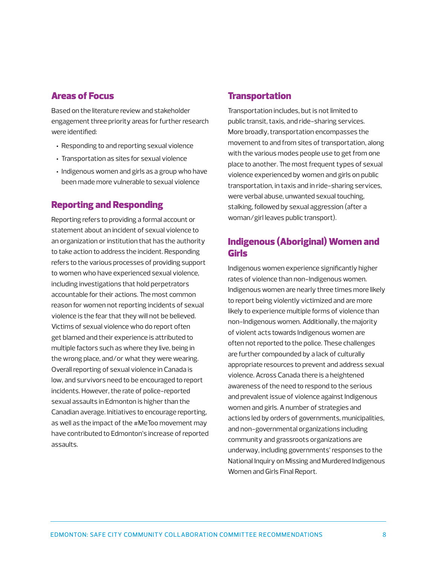## Areas of Focus

Based on the literature review and stakeholder engagement three priority areas for further research were identified:

- Responding to and reporting sexual violence
- Transportation as sites for sexual violence
- Indigenous women and girls as a group who have been made more vulnerable to sexual violence

# Reporting and Responding

Reporting refers to providing a formal account or statement about an incident of sexual violence to an organization or institution that has the authority to take action to address the incident. Responding refers to the various processes of providing support to women who have experienced sexual violence, including investigations that hold perpetrators accountable for their actions. The most common reason for women not reporting incidents of sexual violence is the fear that they will not be believed. Victims of sexual violence who do report often get blamed and their experience is attributed to multiple factors such as where they live, being in the wrong place, and/or what they were wearing. Overall reporting of sexual violence in Canada is low, and survivors need to be encouraged to report incidents. However, the rate of police-reported sexual assaults in Edmonton is higher than the Canadian average. Initiatives to encourage reporting, as well as the impact of the #MeToo movement may have contributed to Edmonton's increase of reported assaults.

## **Transportation**

Transportation includes, but is not limited to public transit, taxis, and ride-sharing services. More broadly, transportation encompasses the movement to and from sites of transportation, along with the various modes people use to get from one place to another. The most frequent types of sexual violence experienced by women and girls on public transportation, in taxis and in ride-sharing services, were verbal abuse, unwanted sexual touching, stalking, followed by sexual aggression (after a woman/girl leaves public transport).

# Indigenous (Aboriginal) Women and Girls

Indigenous women experience significantly higher rates of violence than non-Indigenous women. Indigenous women are nearly three times more likely to report being violently victimized and are more likely to experience multiple forms of violence than non-Indigenous women. Additionally, the majority of violent acts towards Indigenous women are often not reported to the police. These challenges are further compounded by a lack of culturally appropriate resources to prevent and address sexual violence. Across Canada there is a heightened awareness of the need to respond to the serious and prevalent issue of violence against Indigenous women and girls. A number of strategies and actions led by orders of governments, municipalities, and non-governmental organizations including community and grassroots organizations are underway, including governments' responses to the National Inquiry on Missing and Murdered Indigenous Women and Girls Final Report.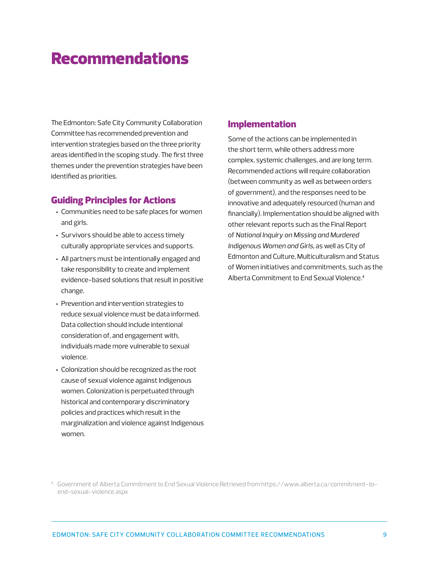# Recommendations

The Edmonton: Safe City Community Collaboration Committee has recommended prevention and intervention strategies based on the three priority areas identified in the scoping study. The first three themes under the prevention strategies have been identified as priorities.

#### Guiding Principles for Actions

- Communities need to be safe places for women and girls.
- Survivors should be able to access timely culturally appropriate services and supports.
- All partners must be intentionally engaged and take responsibility to create and implement evidence-based solutions that result in positive change.
- Prevention and intervention strategies to reduce sexual violence must be data informed. Data collection should include intentional consideration of, and engagement with, individuals made more vulnerable to sexual violence.
- Colonization should be recognized as the root cause of sexual violence against Indigenous women. Colonization is perpetuated through historical and contemporary discriminatory policies and practices which result in the marginalization and violence against Indigenous women.

#### Implementation

Some of the actions can be implemented in the short term, while others address more complex, systemic challenges, and are long term. Recommended actions will require collaboration (between community as well as between orders of government), and the responses need to be innovative and adequately resourced (human and financially). Implementation should be aligned with other relevant reports such as the Final Report of *National Inquiry on Missing and Murdered Indigenous Women and Girls*, as well as City of Edmonton and Culture, Multiculturalism and Status of Women initiatives and commitments, such as the Alberta Commitment to End Sexual Violence.<sup>4</sup>

<sup>4.</sup> Government of Alberta Commitment to End Sexual Violence.Retrieved from https://www.alberta.ca/commitment-toend-sexual-violence.aspx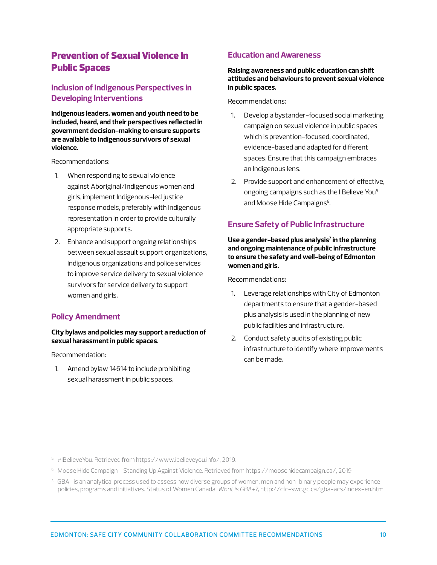# Prevention of Sexual Violence In Public Spaces

## **Inclusion of Indigenous Perspectives in Developing Interventions**

**Indigenous leaders, women and youth need to be included, heard, and their perspectives reflected in government decision-making to ensure supports are available to Indigenous survivors of sexual violence.** 

Recommendations:

- 1. When responding to sexual violence against Aboriginal/Indigenous women and girls, implement Indigenous-led justice response models, preferably with Indigenous representation in order to provide culturally appropriate supports.
- 2. Enhance and support ongoing relationships between sexual assault support organizations, Indigenous organizations and police services to improve service delivery to sexual violence survivors for service delivery to support women and girls.

#### **Policy Amendment**

#### **City bylaws and policies may support a reduction of sexual harassment in public spaces.**

Recommendation:

1. Amend bylaw 14614 to include prohibiting sexual harassment in public spaces.

#### **Education and Awareness**

#### **Raising awareness and public education can shift attitudes and behaviours to prevent sexual violence in public spaces.**

Recommendations:

- 1. Develop a bystander-focused social marketing campaign on sexual violence in public spaces which is prevention-focused, coordinated, evidence-based and adapted for different spaces. Ensure that this campaign embraces an Indigenous lens.
- 2. Provide support and enhancement of effective, ongoing campaigns such as the I Believe You<sup>5</sup> and Moose Hide Campaigns<sup>6</sup>.

#### **Ensure Safety of Public Infrastructure**

Use a gender–based plus analysis<sup>7</sup> in the planning **and ongoing maintenance of public infrastructure to ensure the safety and well-being of Edmonton women and girls.** 

Recommendations:

- 1. Leverage relationships with City of Edmonton departments to ensure that a gender-based plus analysis is used in the planning of new public facilities and infrastructure.
- 2. Conduct safety audits of existing public infrastructure to identify where improvements can be made.

5. #IBelieveYou. Retrieved from https://www.ibelieveyou.info/, 2019.

- 6. Moose Hide Campaign Standing Up Against Violence. Retrieved from https://moosehidecampaign.ca/, 2019
- $7.$  GBA+ is an analytical process used to assess how diverse groups of women, men and non-binary people may experience policies, programs and initiatives. Status of Women Canada, *What is GBA+?*, http://cfc-swc.gc.ca/gba-acs/index-en.html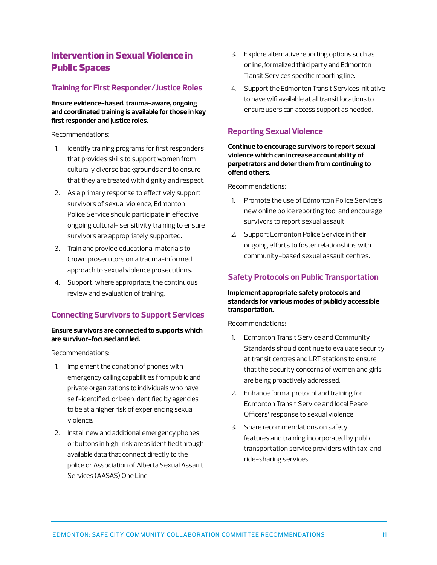# Intervention in Sexual Violence in Public Spaces

#### **Training for First Responder/Justice Roles**

**Ensure evidence-based, trauma-aware, ongoing and coordinated training is available for those in key first responder and justice roles.**

Recommendations:

- 1. Identify training programs for first responders that provides skills to support women from culturally diverse backgrounds and to ensure that they are treated with dignity and respect.
- 2. As a primary response to effectively support survivors of sexual violence, Edmonton Police Service should participate in effective ongoing cultural- sensitivity training to ensure survivors are appropriately supported.
- 3. Train and provide educational materials to Crown prosecutors on a trauma-informed approach to sexual violence prosecutions.
- 4. Support, where appropriate, the continuous review and evaluation of training.

## **Connecting Survivors to Support Services**

#### **Ensure survivors are connected to supports which are survivor-focused and led.**

Recommendations:

- 1. Implement the donation of phones with emergency calling capabilities from public and private organizations to individuals who have self-identified, or been identified by agencies to be at a higher risk of experiencing sexual violence.
- 2. Install new and additional emergency phones or buttons in high-risk areas identified through available data that connect directly to the police or Association of Alberta Sexual Assault Services (AASAS) One Line.
- 3. Explore alternative reporting options such as online, formalized third party and Edmonton Transit Services specific reporting line.
- 4. Support the Edmonton Transit Services initiative to have wifi available at all transit locations to ensure users can access support as needed.

## **Reporting Sexual Violence**

**Continue to encourage survivors to report sexual violence which can increase accountability of perpetrators and deter them from continuing to offend others.**

Recommendations:

- 1. Promote the use of Edmonton Police Service's new online police reporting tool and encourage survivors to report sexual assault.
- 2. Support Edmonton Police Service in their ongoing efforts to foster relationships with community-based sexual assault centres.

## **Safety Protocols on Public Transportation**

#### **Implement appropriate safety protocols and standards for various modes of publicly accessible transportation.**

Recommendations:

- 1. Edmonton Transit Service and Community Standards should continue to evaluate security at transit centres and LRT stations to ensure that the security concerns of women and girls are being proactively addressed.
- 2. Enhance formal protocol and training for Edmonton Transit Service and local Peace Officers' response to sexual violence.
- 3. Share recommendations on safety features and training incorporated by public transportation service providers with taxi and ride-sharing services.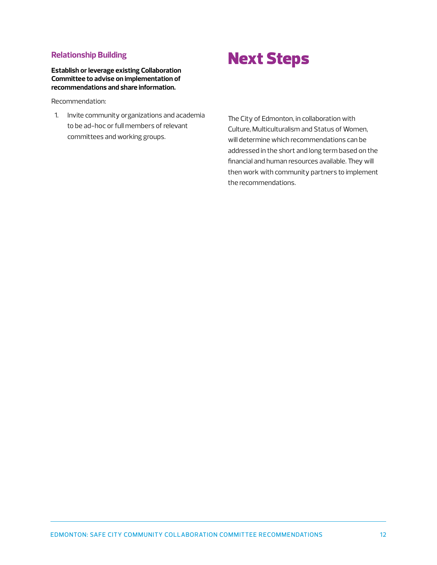#### **Relationship Building**

**Establish or leverage existing Collaboration Committee to advise on implementation of recommendations and share information.** 

Recommendation:

1. Invite community organizations and academia to be ad-hoc or full members of relevant committees and working groups.

# Next Steps

The City of Edmonton, in collaboration with Culture, Multiculturalism and Status of Women, will determine which recommendations can be addressed in the short and long term based on the financial and human resources available. They will then work with community partners to implement the recommendations.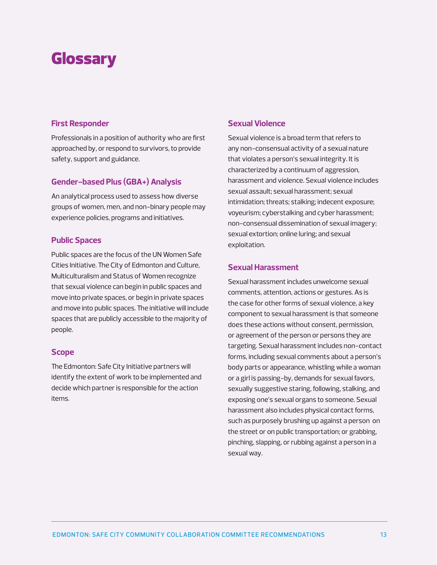# Glossary

#### **First Responder**

Professionals in a position of authority who are first approached by, or respond to survivors, to provide safety, support and guidance.

#### **Gender-based Plus (GBA+) Analysis**

An analytical process used to assess how diverse groups of women, men, and non-binary people may experience policies, programs and initiatives.

#### **Public Spaces**

Public spaces are the focus of the UN Women Safe Cities Initiative. The City of Edmonton and Culture, Multiculturalism and Status of Women recognize that sexual violence can begin in public spaces and move into private spaces, or begin in private spaces and move into public spaces. The initiative will include spaces that are publicly accessible to the majority of people.

#### **Scope**

The Edmonton: Safe City Initiative partners will identify the extent of work to be implemented and decide which partner is responsible for the action items.

## **Sexual Violence**

Sexual violence is a broad term that refers to any non-consensual activity of a sexual nature that violates a person's sexual integrity. It is characterized by a continuum of aggression, harassment and violence. Sexual violence includes sexual assault; sexual harassment; sexual intimidation; threats; stalking; indecent exposure; voyeurism; cyberstalking and cyber harassment; non-consensual dissemination of sexual imagery; sexual extortion; online luring; and sexual exploitation.

#### **Sexual Harassment**

Sexual harassment includes unwelcome sexual comments, attention, actions or gestures. As is the case for other forms of sexual violence, a key component to sexual harassment is that someone does these actions without consent, permission, or agreement of the person or persons they are targeting. Sexual harassment includes non-contact forms, including sexual comments about a person's body parts or appearance, whistling while a woman or a girl is passing-by, demands for sexual favors, sexually suggestive staring, following, stalking, and exposing one's sexual organs to someone. Sexual harassment also includes physical contact forms, such as purposely brushing up against a person on the street or on public transportation; or grabbing, pinching, slapping, or rubbing against a person in a sexual way.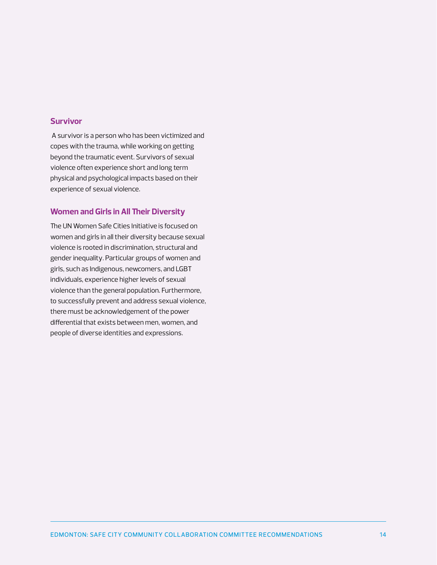#### **Survivor**

 A survivor is a person who has been victimized and copes with the trauma, while working on getting beyond the traumatic event. Survivors of sexual violence often experience short and long term physical and psychological impacts based on their experience of sexual violence.

#### **Women and Girls in All Their Diversity**

The UN Women Safe Cities Initiative is focused on women and girls in all their diversity because sexual violence is rooted in discrimination, structural and gender inequality. Particular groups of women and girls, such as Indigenous, newcomers, and LGBT individuals, experience higher levels of sexual violence than the general population. Furthermore, to successfully prevent and address sexual violence, there must be acknowledgement of the power differential that exists between men, women, and people of diverse identities and expressions.